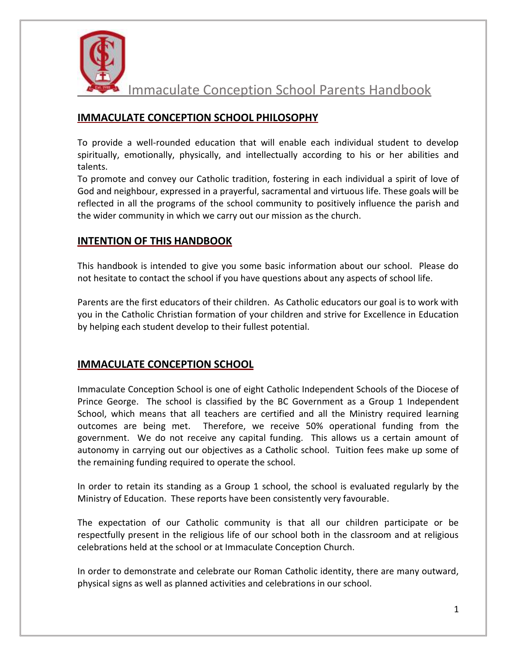

## **IMMACULATE CONCEPTION SCHOOL PHILOSOPHY**

To provide a well-rounded education that will enable each individual student to develop spiritually, emotionally, physically, and intellectually according to his or her abilities and talents.

To promote and convey our Catholic tradition, fostering in each individual a spirit of love of God and neighbour, expressed in a prayerful, sacramental and virtuous life. These goals will be reflected in all the programs of the school community to positively influence the parish and the wider community in which we carry out our mission as the church.

## **INTENTION OF THIS HANDBOOK**

This handbook is intended to give you some basic information about our school. Please do not hesitate to contact the school if you have questions about any aspects of school life.

Parents are the first educators of their children. As Catholic educators our goal is to work with you in the Catholic Christian formation of your children and strive for Excellence in Education by helping each student develop to their fullest potential.

### **IMMACULATE CONCEPTION SCHOOL**

Immaculate Conception School is one of eight Catholic Independent Schools of the Diocese of Prince George. The school is classified by the BC Government as a Group 1 Independent School, which means that all teachers are certified and all the Ministry required learning outcomes are being met. Therefore, we receive 50% operational funding from the government. We do not receive any capital funding. This allows us a certain amount of autonomy in carrying out our objectives as a Catholic school. Tuition fees make up some of the remaining funding required to operate the school.

In order to retain its standing as a Group 1 school, the school is evaluated regularly by the Ministry of Education. These reports have been consistently very favourable.

The expectation of our Catholic community is that all our children participate or be respectfully present in the religious life of our school both in the classroom and at religious celebrations held at the school or at Immaculate Conception Church.

In order to demonstrate and celebrate our Roman Catholic identity, there are many outward, physical signs as well as planned activities and celebrations in our school.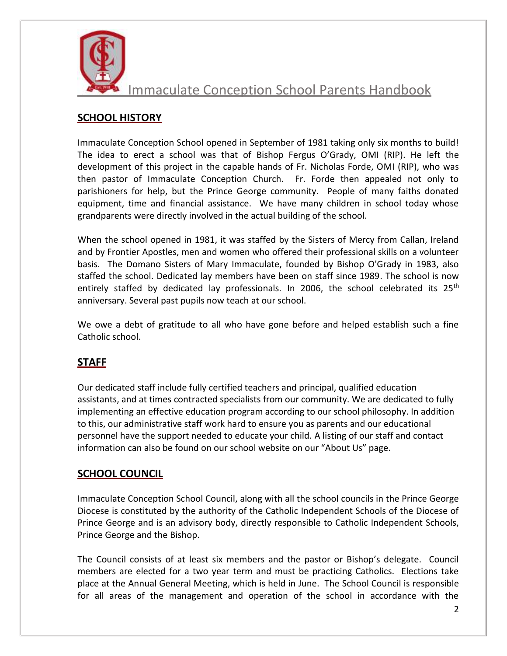

# **SCHOOL HISTORY**

Immaculate Conception School opened in September of 1981 taking only six months to build! The idea to erect a school was that of Bishop Fergus O'Grady, OMI (RIP). He left the development of this project in the capable hands of Fr. Nicholas Forde, OMI (RIP), who was then pastor of Immaculate Conception Church. Fr. Forde then appealed not only to parishioners for help, but the Prince George community. People of many faiths donated equipment, time and financial assistance. We have many children in school today whose grandparents were directly involved in the actual building of the school.

When the school opened in 1981, it was staffed by the Sisters of Mercy from Callan, Ireland and by Frontier Apostles, men and women who offered their professional skills on a volunteer basis. The Domano Sisters of Mary Immaculate, founded by Bishop O'Grady in 1983, also staffed the school. Dedicated lay members have been on staff since 1989. The school is now entirely staffed by dedicated lay professionals. In 2006, the school celebrated its  $25<sup>th</sup>$ anniversary. Several past pupils now teach at our school.

We owe a debt of gratitude to all who have gone before and helped establish such a fine Catholic school.

## **STAFF**

Our dedicated staff include fully certified teachers and principal, qualified education assistants, and at times contracted specialists from our community. We are dedicated to fully implementing an effective education program according to our school philosophy. In addition to this, our administrative staff work hard to ensure you as parents and our educational personnel have the support needed to educate your child. A listing of our staff and contact information can also be found on our school website on our "About Us" page.

## **SCHOOL COUNCIL**

Immaculate Conception School Council, along with all the school councils in the Prince George Diocese is constituted by the authority of the Catholic Independent Schools of the Diocese of Prince George and is an advisory body, directly responsible to Catholic Independent Schools, Prince George and the Bishop.

The Council consists of at least six members and the pastor or Bishop's delegate. Council members are elected for a two year term and must be practicing Catholics. Elections take place at the Annual General Meeting, which is held in June. The School Council is responsible for all areas of the management and operation of the school in accordance with the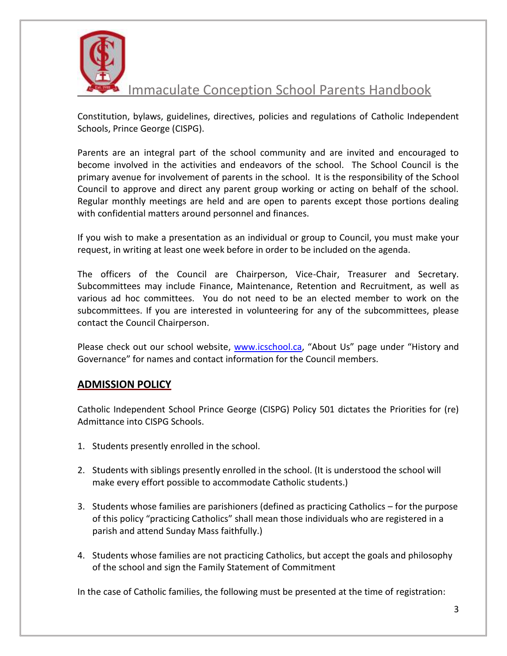

Constitution, bylaws, guidelines, directives, policies and regulations of Catholic Independent Schools, Prince George (CISPG).

Parents are an integral part of the school community and are invited and encouraged to become involved in the activities and endeavors of the school. The School Council is the primary avenue for involvement of parents in the school. It is the responsibility of the School Council to approve and direct any parent group working or acting on behalf of the school. Regular monthly meetings are held and are open to parents except those portions dealing with confidential matters around personnel and finances.

If you wish to make a presentation as an individual or group to Council, you must make your request, in writing at least one week before in order to be included on the agenda.

The officers of the Council are Chairperson, Vice-Chair, Treasurer and Secretary. Subcommittees may include Finance, Maintenance, Retention and Recruitment, as well as various ad hoc committees. You do not need to be an elected member to work on the subcommittees. If you are interested in volunteering for any of the subcommittees, please contact the Council Chairperson.

Please check out our school website, [www.icschool.ca,](http://www.icschool.ca/) "About Us" page under "History and Governance" for names and contact information for the Council members.

### **ADMISSION POLICY**

Catholic Independent School Prince George (CISPG) Policy 501 dictates the Priorities for (re) Admittance into CISPG Schools.

- 1. Students presently enrolled in the school.
- 2. Students with siblings presently enrolled in the school. (It is understood the school will make every effort possible to accommodate Catholic students.)
- 3. Students whose families are parishioners (defined as practicing Catholics for the purpose of this policy "practicing Catholics" shall mean those individuals who are registered in a parish and attend Sunday Mass faithfully.)
- 4. Students whose families are not practicing Catholics, but accept the goals and philosophy of the school and sign the Family Statement of Commitment

In the case of Catholic families, the following must be presented at the time of registration: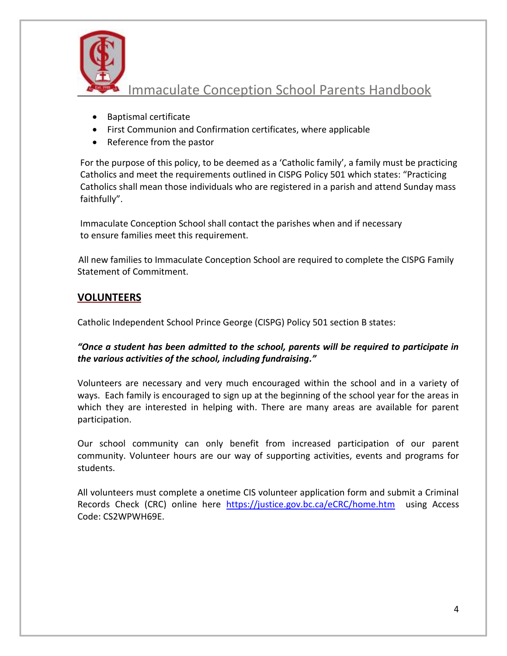

- Baptismal certificate
- First Communion and Confirmation certificates, where applicable
- Reference from the pastor

For the purpose of this policy, to be deemed as a 'Catholic family', a family must be practicing Catholics and meet the requirements outlined in CISPG Policy 501 which states: "Practicing Catholics shall mean those individuals who are registered in a parish and attend Sunday mass faithfully".

Immaculate Conception School shall contact the parishes when and if necessary to ensure families meet this requirement.

 All new families to Immaculate Conception School are required to complete the CISPG Family Statement of Commitment.

## **VOLUNTEERS**

Catholic Independent School Prince George (CISPG) Policy 501 section B states:

### *"Once a student has been admitted to the school, parents will be required to participate in the various activities of the school, including fundraising."*

Volunteers are necessary and very much encouraged within the school and in a variety of ways. Each family is encouraged to sign up at the beginning of the school year for the areas in which they are interested in helping with. There are many areas are available for parent participation.

Our school community can only benefit from increased participation of our parent community. Volunteer hours are our way of supporting activities, events and programs for students.

All volunteers must complete a onetime CIS volunteer application form and submit a Criminal Records Check (CRC) online here <https://justice.gov.bc.ca/eCRC/home.htm>using Access Code: CS2WPWH69E.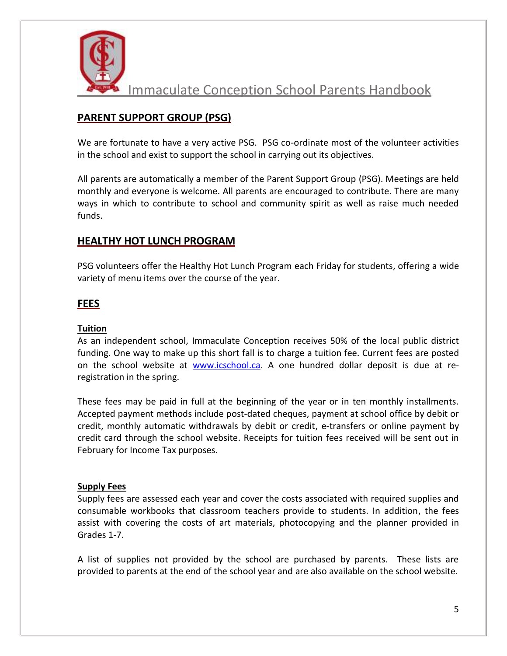

## **PARENT SUPPORT GROUP (PSG)**

We are fortunate to have a very active PSG. PSG co-ordinate most of the volunteer activities in the school and exist to support the school in carrying out its objectives.

All parents are automatically a member of the Parent Support Group (PSG). Meetings are held monthly and everyone is welcome. All parents are encouraged to contribute. There are many ways in which to contribute to school and community spirit as well as raise much needed funds.

### **HEALTHY HOT LUNCH PROGRAM**

PSG volunteers offer the Healthy Hot Lunch Program each Friday for students, offering a wide variety of menu items over the course of the year.

#### **FEES**

#### **Tuition**

As an independent school, Immaculate Conception receives 50% of the local public district funding. One way to make up this short fall is to charge a tuition fee. Current fees are posted on the school website at [www.icschool.ca.](http://www.icschool.ca/) A one hundred dollar deposit is due at reregistration in the spring.

These fees may be paid in full at the beginning of the year or in ten monthly installments. Accepted payment methods include post-dated cheques, payment at school office by debit or credit, monthly automatic withdrawals by debit or credit, e-transfers or online payment by credit card through the school website. Receipts for tuition fees received will be sent out in February for Income Tax purposes.

#### **Supply Fees**

Supply fees are assessed each year and cover the costs associated with required supplies and consumable workbooks that classroom teachers provide to students. In addition, the fees assist with covering the costs of art materials, photocopying and the planner provided in Grades 1-7.

A list of supplies not provided by the school are purchased by parents. These lists are provided to parents at the end of the school year and are also available on the school website.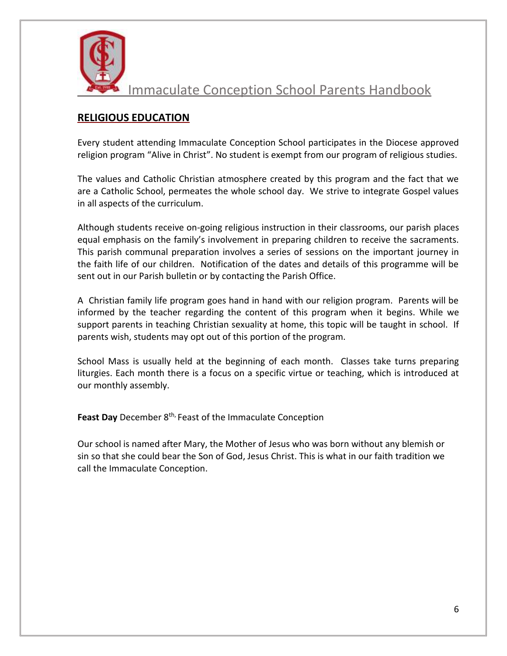

## **RELIGIOUS EDUCATION**

Every student attending Immaculate Conception School participates in the Diocese approved religion program "Alive in Christ". No student is exempt from our program of religious studies.

The values and Catholic Christian atmosphere created by this program and the fact that we are a Catholic School, permeates the whole school day. We strive to integrate Gospel values in all aspects of the curriculum.

Although students receive on-going religious instruction in their classrooms, our parish places equal emphasis on the family's involvement in preparing children to receive the sacraments. This parish communal preparation involves a series of sessions on the important journey in the faith life of our children. Notification of the dates and details of this programme will be sent out in our Parish bulletin or by contacting the Parish Office.

A Christian family life program goes hand in hand with our religion program. Parents will be informed by the teacher regarding the content of this program when it begins. While we support parents in teaching Christian sexuality at home, this topic will be taught in school. If parents wish, students may opt out of this portion of the program.

School Mass is usually held at the beginning of each month. Classes take turns preparing liturgies. Each month there is a focus on a specific virtue or teaching, which is introduced at our monthly assembly.

**Feast Day** December 8th, Feast of the Immaculate Conception

Our school is named after Mary, the Mother of Jesus who was born without any blemish or sin so that she could bear the Son of God, Jesus Christ. This is what in our faith tradition we call the Immaculate Conception.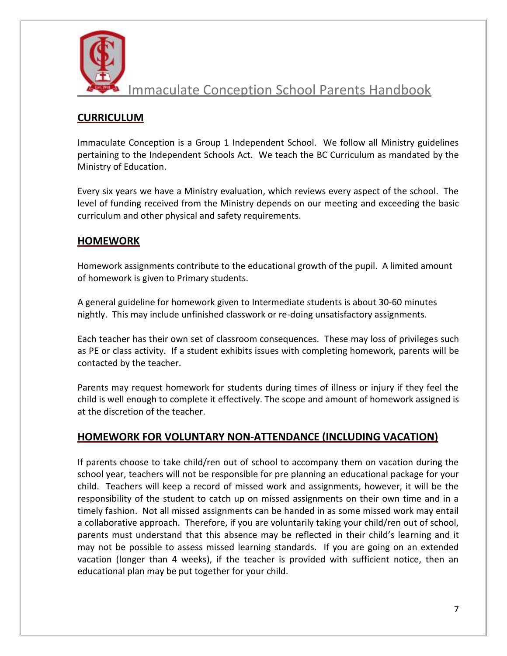

# **CURRICULUM**

Immaculate Conception is a Group 1 Independent School. We follow all Ministry guidelines pertaining to the Independent Schools Act. We teach the BC Curriculum as mandated by the Ministry of Education.

Every six years we have a Ministry evaluation, which reviews every aspect of the school. The level of funding received from the Ministry depends on our meeting and exceeding the basic curriculum and other physical and safety requirements.

### **HOMEWORK**

Homework assignments contribute to the educational growth of the pupil. A limited amount of homework is given to Primary students.

A general guideline for homework given to Intermediate students is about 30-60 minutes nightly. This may include unfinished classwork or re-doing unsatisfactory assignments.

Each teacher has their own set of classroom consequences. These may loss of privileges such as PE or class activity. If a student exhibits issues with completing homework, parents will be contacted by the teacher.

Parents may request homework for students during times of illness or injury if they feel the child is well enough to complete it effectively. The scope and amount of homework assigned is at the discretion of the teacher.

## **HOMEWORK FOR VOLUNTARY NON-ATTENDANCE (INCLUDING VACATION)**

If parents choose to take child/ren out of school to accompany them on vacation during the school year, teachers will not be responsible for pre planning an educational package for your child. Teachers will keep a record of missed work and assignments, however, it will be the responsibility of the student to catch up on missed assignments on their own time and in a timely fashion. Not all missed assignments can be handed in as some missed work may entail a collaborative approach. Therefore, if you are voluntarily taking your child/ren out of school, parents must understand that this absence may be reflected in their child's learning and it may not be possible to assess missed learning standards. If you are going on an extended vacation (longer than 4 weeks), if the teacher is provided with sufficient notice, then an educational plan may be put together for your child.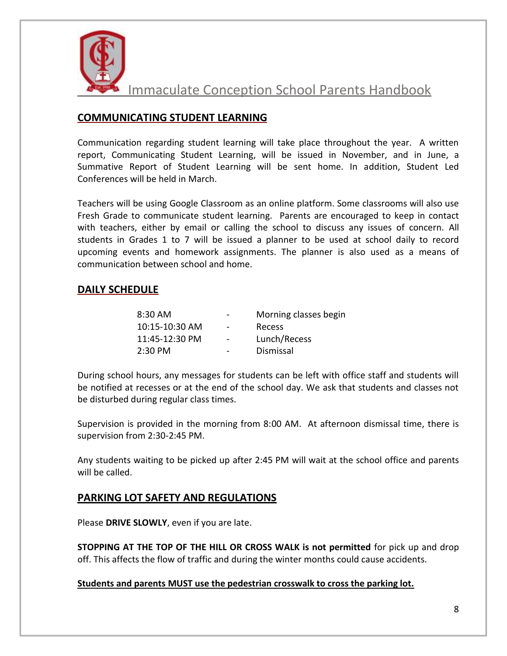

## **COMMUNICATING STUDENT LEARNING**

Communication regarding student learning will take place throughout the year. A written report, Communicating Student Learning, will be issued in November, and in June, a Summative Report of Student Learning will be sent home. In addition, Student Led Conferences will be held in March.

Teachers will be using Google Classroom as an online platform. Some classrooms will also use Fresh Grade to communicate student learning. Parents are encouraged to keep in contact with teachers, either by email or calling the school to discuss any issues of concern. All students in Grades 1 to 7 will be issued a planner to be used at school daily to record upcoming events and homework assignments. The planner is also used as a means of communication between school and home.

### **DAILY SCHEDULE**

| $8:30$ AM         | $\qquad \qquad$ | Morning classes begin |
|-------------------|-----------------|-----------------------|
| 10:15-10:30 AM    | $\blacksquare$  | Recess                |
| 11:45-12:30 PM    | $\blacksquare$  | Lunch/Recess          |
| $2:30 \text{ PM}$ |                 | Dismissal             |

During school hours, any messages for students can be left with office staff and students will be notified at recesses or at the end of the school day. We ask that students and classes not be disturbed during regular class times.

Supervision is provided in the morning from 8:00 AM. At afternoon dismissal time, there is supervision from 2:30-2:45 PM.

Any students waiting to be picked up after 2:45 PM will wait at the school office and parents will be called.

### **PARKING LOT SAFETY AND REGULATIONS**

Please **DRIVE SLOWLY**, even if you are late.

**STOPPING AT THE TOP OF THE HILL OR CROSS WALK is not permitted** for pick up and drop off. This affects the flow of traffic and during the winter months could cause accidents.

#### **Students and parents MUST use the pedestrian crosswalk to cross the parking lot.**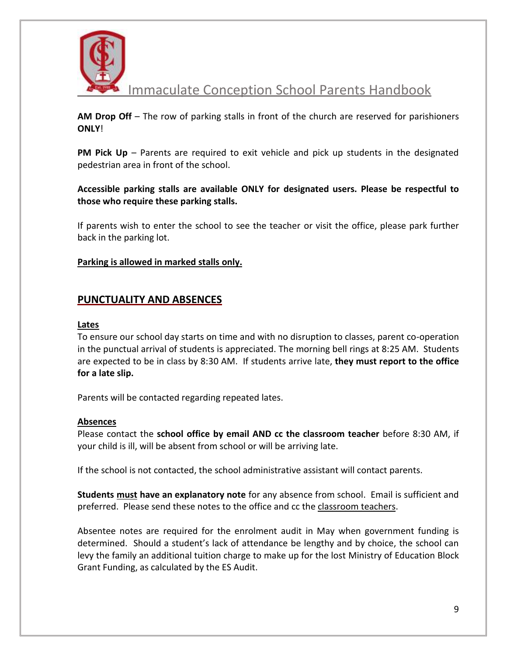

**AM Drop Off** – The row of parking stalls in front of the church are reserved for parishioners **ONLY**!

**PM Pick Up** – Parents are required to exit vehicle and pick up students in the designated pedestrian area in front of the school.

**Accessible parking stalls are available ONLY for designated users. Please be respectful to those who require these parking stalls.** 

If parents wish to enter the school to see the teacher or visit the office, please park further back in the parking lot.

#### **Parking is allowed in marked stalls only.**

#### **PUNCTUALITY AND ABSENCES**

#### **Lates**

To ensure our school day starts on time and with no disruption to classes, parent co-operation in the punctual arrival of students is appreciated. The morning bell rings at 8:25 AM. Students are expected to be in class by 8:30 AM. If students arrive late, **they must report to the office for a late slip.** 

Parents will be contacted regarding repeated lates.

#### **Absences**

Please contact the **school office by email AND cc the classroom teacher** before 8:30 AM, if your child is ill, will be absent from school or will be arriving late.

If the school is not contacted, the school administrative assistant will contact parents.

**Students must have an explanatory note** for any absence from school. Email is sufficient and preferred. Please send these notes to the office and cc the classroom teachers.

Absentee notes are required for the enrolment audit in May when government funding is determined. Should a student's lack of attendance be lengthy and by choice, the school can levy the family an additional tuition charge to make up for the lost Ministry of Education Block Grant Funding, as calculated by the ES Audit.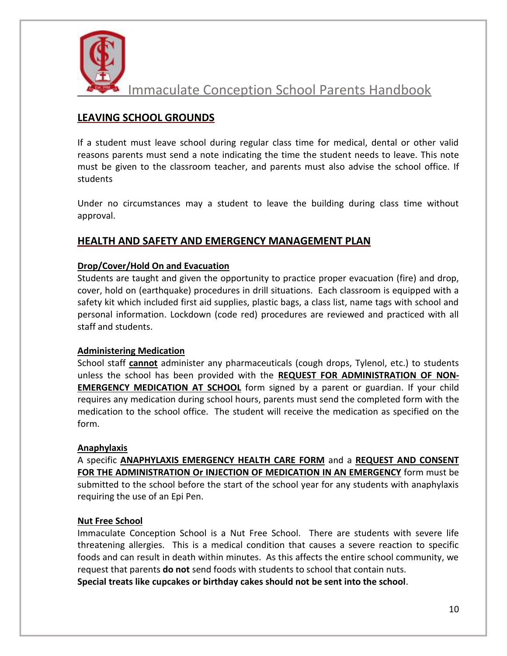

## **LEAVING SCHOOL GROUNDS**

If a student must leave school during regular class time for medical, dental or other valid reasons parents must send a note indicating the time the student needs to leave. This note must be given to the classroom teacher, and parents must also advise the school office. If students

Under no circumstances may a student to leave the building during class time without approval.

## **HEALTH AND SAFETY AND EMERGENCY MANAGEMENT PLAN**

#### **Drop/Cover/Hold On and Evacuation**

Students are taught and given the opportunity to practice proper evacuation (fire) and drop, cover, hold on (earthquake) procedures in drill situations. Each classroom is equipped with a safety kit which included first aid supplies, plastic bags, a class list, name tags with school and personal information. Lockdown (code red) procedures are reviewed and practiced with all staff and students.

#### **Administering Medication**

School staff **cannot** administer any pharmaceuticals (cough drops, Tylenol, etc.) to students unless the school has been provided with the **REQUEST FOR ADMINISTRATION OF NON-EMERGENCY MEDICATION AT SCHOOL** form signed by a parent or guardian. If your child requires any medication during school hours, parents must send the completed form with the medication to the school office. The student will receive the medication as specified on the form.

#### **Anaphylaxis**

A specific **ANAPHYLAXIS EMERGENCY HEALTH CARE FORM** and a **REQUEST AND CONSENT FOR THE ADMINISTRATION Or INJECTION OF MEDICATION IN AN EMERGENCY** form must be submitted to the school before the start of the school year for any students with anaphylaxis requiring the use of an Epi Pen.

#### **Nut Free School**

Immaculate Conception School is a Nut Free School. There are students with severe life threatening allergies. This is a medical condition that causes a severe reaction to specific foods and can result in death within minutes. As this affects the entire school community, we request that parents **do not** send foods with students to school that contain nuts.

**Special treats like cupcakes or birthday cakes should not be sent into the school**.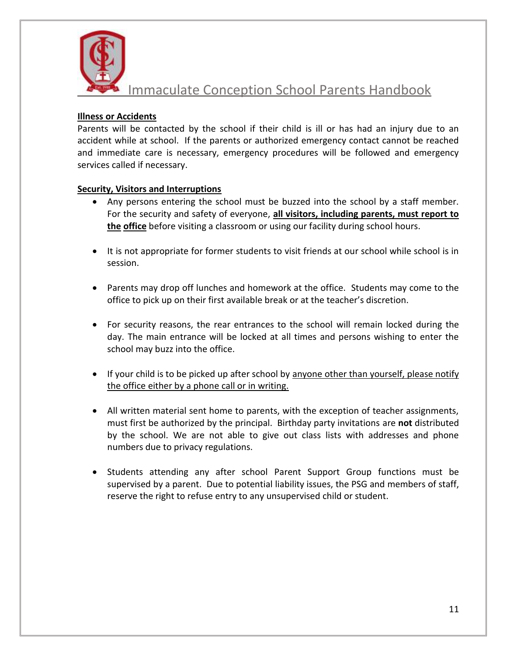

#### **Illness or Accidents**

Parents will be contacted by the school if their child is ill or has had an injury due to an accident while at school. If the parents or authorized emergency contact cannot be reached and immediate care is necessary, emergency procedures will be followed and emergency services called if necessary.

#### **Security, Visitors and Interruptions**

- Any persons entering the school must be buzzed into the school by a staff member. For the security and safety of everyone, **all visitors, including parents, must report to the office** before visiting a classroom or using our facility during school hours.
- It is not appropriate for former students to visit friends at our school while school is in session.
- Parents may drop off lunches and homework at the office. Students may come to the office to pick up on their first available break or at the teacher's discretion.
- For security reasons, the rear entrances to the school will remain locked during the day. The main entrance will be locked at all times and persons wishing to enter the school may buzz into the office.
- If your child is to be picked up after school by anyone other than yourself, please notify the office either by a phone call or in writing.
- All written material sent home to parents, with the exception of teacher assignments, must first be authorized by the principal. Birthday party invitations are **not** distributed by the school. We are not able to give out class lists with addresses and phone numbers due to privacy regulations.
- Students attending any after school Parent Support Group functions must be supervised by a parent. Due to potential liability issues, the PSG and members of staff, reserve the right to refuse entry to any unsupervised child or student.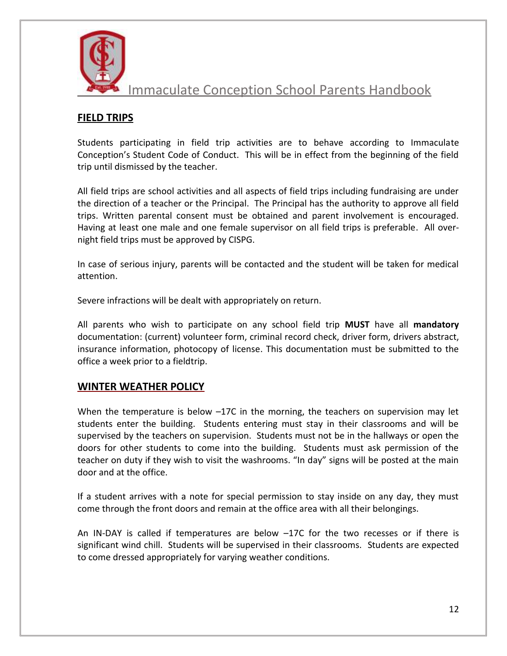

## **FIELD TRIPS**

Students participating in field trip activities are to behave according to Immaculate Conception's Student Code of Conduct. This will be in effect from the beginning of the field trip until dismissed by the teacher.

All field trips are school activities and all aspects of field trips including fundraising are under the direction of a teacher or the Principal. The Principal has the authority to approve all field trips. Written parental consent must be obtained and parent involvement is encouraged. Having at least one male and one female supervisor on all field trips is preferable. All overnight field trips must be approved by CISPG.

In case of serious injury, parents will be contacted and the student will be taken for medical attention.

Severe infractions will be dealt with appropriately on return.

All parents who wish to participate on any school field trip **MUST** have all **mandatory** documentation: (current) volunteer form, criminal record check, driver form, drivers abstract, insurance information, photocopy of license. This documentation must be submitted to the office a week prior to a fieldtrip.

## **WINTER WEATHER POLICY**

When the temperature is below  $-17C$  in the morning, the teachers on supervision may let students enter the building. Students entering must stay in their classrooms and will be supervised by the teachers on supervision. Students must not be in the hallways or open the doors for other students to come into the building. Students must ask permission of the teacher on duty if they wish to visit the washrooms. "In day" signs will be posted at the main door and at the office.

If a student arrives with a note for special permission to stay inside on any day, they must come through the front doors and remain at the office area with all their belongings.

An IN-DAY is called if temperatures are below –17C for the two recesses or if there is significant wind chill. Students will be supervised in their classrooms. Students are expected to come dressed appropriately for varying weather conditions.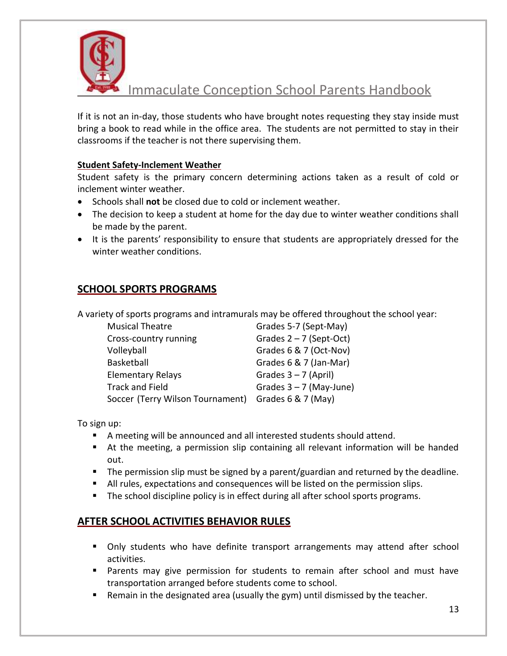

If it is not an in-day, those students who have brought notes requesting they stay inside must bring a book to read while in the office area. The students are not permitted to stay in their classrooms if the teacher is not there supervising them.

#### **Student Safety-Inclement Weather**

Student safety is the primary concern determining actions taken as a result of cold or inclement winter weather.

- Schools shall **not** be closed due to cold or inclement weather.
- The decision to keep a student at home for the day due to winter weather conditions shall be made by the parent.
- It is the parents' responsibility to ensure that students are appropriately dressed for the winter weather conditions.

## **SCHOOL SPORTS PROGRAMS**

A variety of sports programs and intramurals may be offered throughout the school year:

| <b>Musical Theatre</b>           | Grades 5-7 (Sept-May)     |
|----------------------------------|---------------------------|
| Cross-country running            | Grades $2 - 7$ (Sept-Oct) |
| Volleyball                       | Grades 6 & 7 (Oct-Nov)    |
| Basketball                       | Grades 6 & 7 (Jan-Mar)    |
| <b>Elementary Relays</b>         | Grades $3 - 7$ (April)    |
| <b>Track and Field</b>           | Grades $3 - 7$ (May-June) |
| Soccer (Terry Wilson Tournament) | Grades $6 & 7$ (May)      |

To sign up:

- A meeting will be announced and all interested students should attend.
- At the meeting, a permission slip containing all relevant information will be handed out.
- The permission slip must be signed by a parent/guardian and returned by the deadline.
- All rules, expectations and consequences will be listed on the permission slips.
- **The school discipline policy is in effect during all after school sports programs.**

## **AFTER SCHOOL ACTIVITIES BEHAVIOR RULES**

- **Dialy Students who have definite transport arrangements may attend after school** activities.
- Parents may give permission for students to remain after school and must have transportation arranged before students come to school.
- Remain in the designated area (usually the gym) until dismissed by the teacher.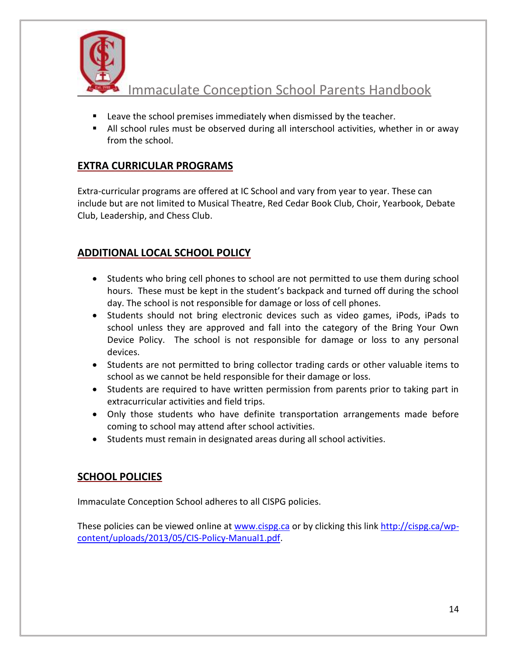

- **EXEC** Leave the school premises immediately when dismissed by the teacher.
- All school rules must be observed during all interschool activities, whether in or away from the school.

## **EXTRA CURRICULAR PROGRAMS**

Extra-curricular programs are offered at IC School and vary from year to year. These can include but are not limited to Musical Theatre, Red Cedar Book Club, Choir, Yearbook, Debate Club, Leadership, and Chess Club.

# **ADDITIONAL LOCAL SCHOOL POLICY**

- Students who bring cell phones to school are not permitted to use them during school hours. These must be kept in the student's backpack and turned off during the school day. The school is not responsible for damage or loss of cell phones.
- Students should not bring electronic devices such as video games, iPods, iPads to school unless they are approved and fall into the category of the Bring Your Own Device Policy. The school is not responsible for damage or loss to any personal devices.
- Students are not permitted to bring collector trading cards or other valuable items to school as we cannot be held responsible for their damage or loss.
- Students are required to have written permission from parents prior to taking part in extracurricular activities and field trips.
- Only those students who have definite transportation arrangements made before coming to school may attend after school activities.
- Students must remain in designated areas during all school activities.

# **SCHOOL POLICIES**

Immaculate Conception School adheres to all CISPG policies.

These policies can be viewed online at [www.cispg.ca](http://www.cispg.ca/) or by clicking this link [http://cispg.ca/wp](http://cispg.ca/wp-content/uploads/2013/05/CIS-Policy-Manual1.pdf)[content/uploads/2013/05/CIS-Policy-Manual1.pdf.](http://cispg.ca/wp-content/uploads/2013/05/CIS-Policy-Manual1.pdf)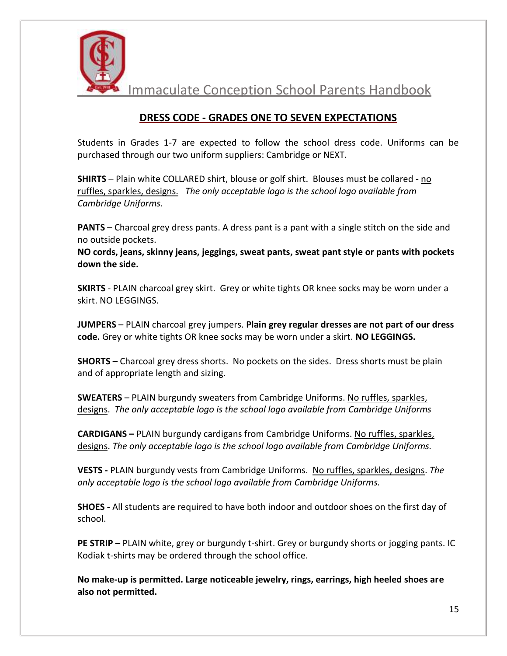

## **DRESS CODE - GRADES ONE TO SEVEN EXPECTATIONS**

Students in Grades 1-7 are expected to follow the school dress code. Uniforms can be purchased through our two uniform suppliers: Cambridge or NEXT.

**SHIRTS** – Plain white COLLARED shirt, blouse or golf shirt. Blouses must be collared - no ruffles, sparkles, designs. *The only acceptable logo is the school logo available from Cambridge Uniforms.*

**PANTS** – Charcoal grey dress pants. A dress pant is a pant with a single stitch on the side and no outside pockets.

**NO cords, jeans, skinny jeans, jeggings, sweat pants, sweat pant style or pants with pockets down the side.**

**SKIRTS** - PLAIN charcoal grey skirt. Grey or white tights OR knee socks may be worn under a skirt. NO LEGGINGS.

**JUMPERS** – PLAIN charcoal grey jumpers. **Plain grey regular dresses are not part of our dress code.** Grey or white tights OR knee socks may be worn under a skirt. **NO LEGGINGS.**

**SHORTS –** Charcoal grey dress shorts. No pockets on the sides. Dress shorts must be plain and of appropriate length and sizing.

**SWEATERS** – PLAIN burgundy sweaters from Cambridge Uniforms. No ruffles, sparkles, designs. *The only acceptable logo is the school logo available from Cambridge Uniforms*

**CARDIGANS –** PLAIN burgundy cardigans from Cambridge Uniforms. No ruffles, sparkles, designs. *The only acceptable logo is the school logo available from Cambridge Uniforms.*

**VESTS -** PLAIN burgundy vests from Cambridge Uniforms. No ruffles, sparkles, designs. *The only acceptable logo is the school logo available from Cambridge Uniforms.*

**SHOES -** All students are required to have both indoor and outdoor shoes on the first day of school.

**PE STRIP –** PLAIN white, grey or burgundy t-shirt. Grey or burgundy shorts or jogging pants. IC Kodiak t-shirts may be ordered through the school office.

**No make-up is permitted. Large noticeable jewelry, rings, earrings, high heeled shoes are also not permitted.**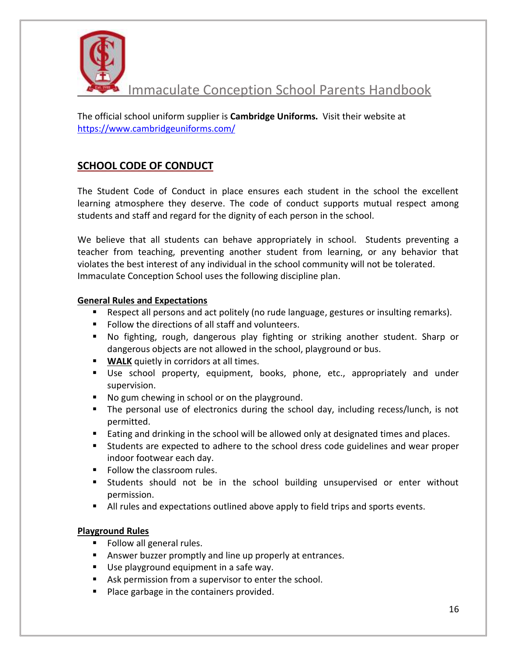

The official school uniform supplier is **Cambridge Uniforms.** Visit their website at <https://www.cambridgeuniforms.com/>

# **SCHOOL CODE OF CONDUCT**

The Student Code of Conduct in place ensures each student in the school the excellent learning atmosphere they deserve. The code of conduct supports mutual respect among students and staff and regard for the dignity of each person in the school.

We believe that all students can behave appropriately in school. Students preventing a teacher from teaching, preventing another student from learning, or any behavior that violates the best interest of any individual in the school community will not be tolerated. Immaculate Conception School uses the following discipline plan.

#### **General Rules and Expectations**

- **EXE** Respect all persons and act politely (no rude language, gestures or insulting remarks).
- **Follow the directions of all staff and volunteers.**
- No fighting, rough, dangerous play fighting or striking another student. Sharp or dangerous objects are not allowed in the school, playground or bus.
- **WALK** quietly in corridors at all times.
- Use school property, equipment, books, phone, etc., appropriately and under supervision.
- No gum chewing in school or on the playground.
- The personal use of electronics during the school day, including recess/lunch, is not permitted.
- **Eating and drinking in the school will be allowed only at designated times and places.**
- Students are expected to adhere to the school dress code guidelines and wear proper indoor footwear each day.
- **Follow the classroom rules.**
- Students should not be in the school building unsupervised or enter without permission.
- I All rules and expectations outlined above apply to field trips and sports events.

#### **Playground Rules**

- Follow all general rules.
- **Answer buzzer promptly and line up properly at entrances.**
- Use playground equipment in a safe way.
- Ask permission from a supervisor to enter the school.
- **Place garbage in the containers provided.**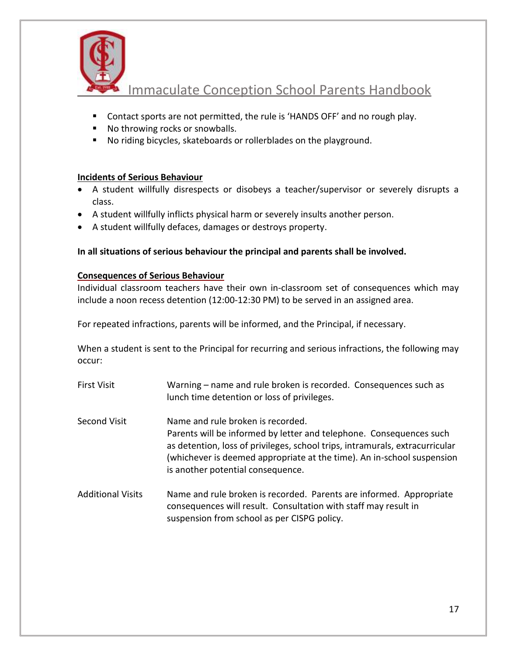

- Contact sports are not permitted, the rule is 'HANDS OFF' and no rough play.
- No throwing rocks or snowballs.
- No riding bicycles, skateboards or rollerblades on the playground.

#### **Incidents of Serious Behaviour**

- A student willfully disrespects or disobeys a teacher/supervisor or severely disrupts a class.
- A student willfully inflicts physical harm or severely insults another person.
- A student willfully defaces, damages or destroys property.

### **In all situations of serious behaviour the principal and parents shall be involved.**

#### **Consequences of Serious Behaviour**

Individual classroom teachers have their own in-classroom set of consequences which may include a noon recess detention (12:00-12:30 PM) to be served in an assigned area.

For repeated infractions, parents will be informed, and the Principal, if necessary.

When a student is sent to the Principal for recurring and serious infractions, the following may occur:

- First Visit Warning name and rule broken is recorded. Consequences such as lunch time detention or loss of privileges. Second Visit Name and rule broken is recorded. Parents will be informed by letter and telephone. Consequences such as detention, loss of privileges, school trips, intramurals, extracurricular (whichever is deemed appropriate at the time). An in-school suspension is another potential consequence.
- Additional Visits Name and rule broken is recorded. Parents are informed. Appropriate consequences will result. Consultation with staff may result in suspension from school as per CISPG policy.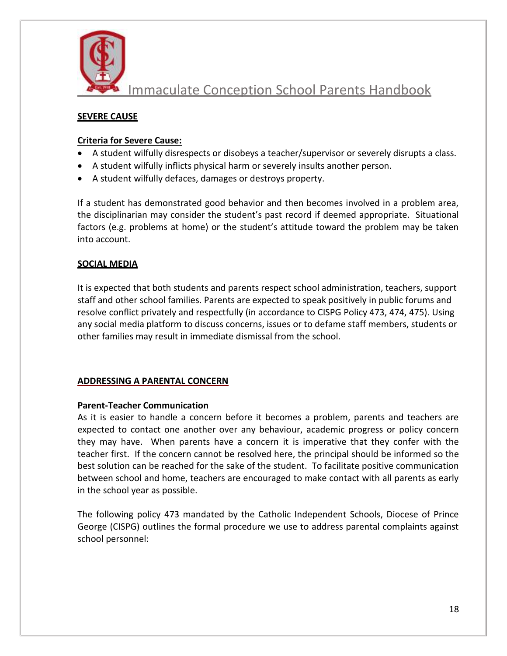

#### **SEVERE CAUSE**

#### **Criteria for Severe Cause:**

- A student wilfully disrespects or disobeys a teacher/supervisor or severely disrupts a class.
- A student wilfully inflicts physical harm or severely insults another person.
- A student wilfully defaces, damages or destroys property.

If a student has demonstrated good behavior and then becomes involved in a problem area, the disciplinarian may consider the student's past record if deemed appropriate. Situational factors (e.g. problems at home) or the student's attitude toward the problem may be taken into account.

#### **SOCIAL MEDIA**

It is expected that both students and parents respect school administration, teachers, support staff and other school families. Parents are expected to speak positively in public forums and resolve conflict privately and respectfully (in accordance to CISPG Policy 473, 474, 475). Using any social media platform to discuss concerns, issues or to defame staff members, students or other families may result in immediate dismissal from the school.

#### **ADDRESSING A PARENTAL CONCERN**

#### **Parent-Teacher Communication**

As it is easier to handle a concern before it becomes a problem, parents and teachers are expected to contact one another over any behaviour, academic progress or policy concern they may have. When parents have a concern it is imperative that they confer with the teacher first. If the concern cannot be resolved here, the principal should be informed so the best solution can be reached for the sake of the student. To facilitate positive communication between school and home, teachers are encouraged to make contact with all parents as early in the school year as possible.

The following policy 473 mandated by the Catholic Independent Schools, Diocese of Prince George (CISPG) outlines the formal procedure we use to address parental complaints against school personnel: